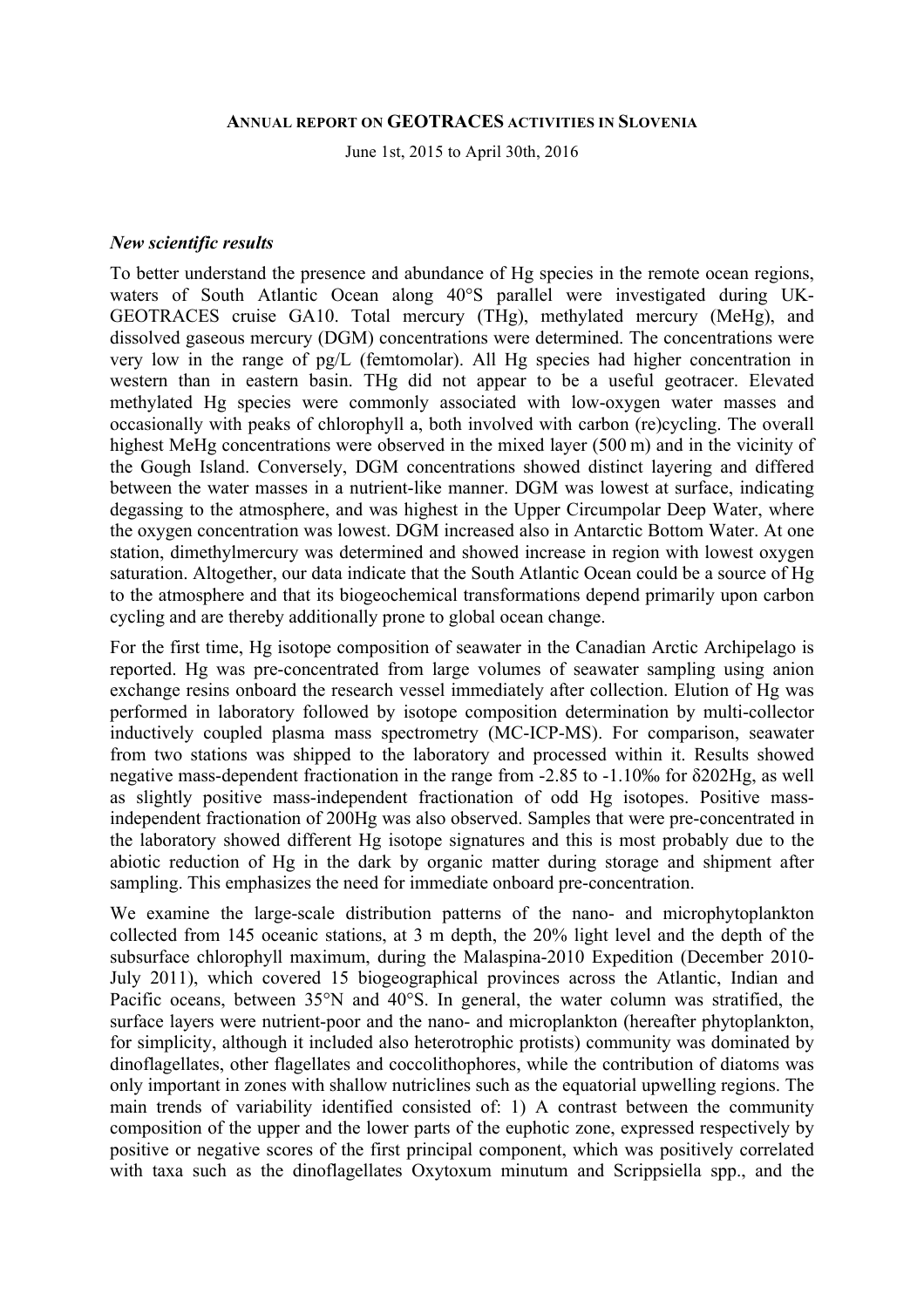#### **ANNUAL REPORT ON GEOTRACES ACTIVITIES IN SLOVENIA**

June 1st, 2015 to April 30th, 2016

#### *New scientific results*

To better understand the presence and abundance of Hg species in the remote ocean regions, waters of South Atlantic Ocean along 40°S parallel were investigated during UK-GEOTRACES cruise GA10. Total mercury (THg), methylated mercury (MeHg), and dissolved gaseous mercury (DGM) concentrations were determined. The concentrations were very low in the range of pg/L (femtomolar). All Hg species had higher concentration in western than in eastern basin. THg did not appear to be a useful geotracer. Elevated methylated Hg species were commonly associated with low-oxygen water masses and occasionally with peaks of chlorophyll a, both involved with carbon (re)cycling. The overall highest MeHg concentrations were observed in the mixed layer (500 m) and in the vicinity of the Gough Island. Conversely, DGM concentrations showed distinct layering and differed between the water masses in a nutrient-like manner. DGM was lowest at surface, indicating degassing to the atmosphere, and was highest in the Upper Circumpolar Deep Water, where the oxygen concentration was lowest. DGM increased also in Antarctic Bottom Water. At one station, dimethylmercury was determined and showed increase in region with lowest oxygen saturation. Altogether, our data indicate that the South Atlantic Ocean could be a source of Hg to the atmosphere and that its biogeochemical transformations depend primarily upon carbon cycling and are thereby additionally prone to global ocean change.

For the first time, Hg isotope composition of seawater in the Canadian Arctic Archipelago is reported. Hg was pre-concentrated from large volumes of seawater sampling using anion exchange resins onboard the research vessel immediately after collection. Elution of Hg was performed in laboratory followed by isotope composition determination by multi-collector inductively coupled plasma mass spectrometry (MC-ICP-MS). For comparison, seawater from two stations was shipped to the laboratory and processed within it. Results showed negative mass-dependent fractionation in the range from -2.85 to -1.10‰ for δ202Hg, as well as slightly positive mass-independent fractionation of odd Hg isotopes. Positive massindependent fractionation of 200Hg was also observed. Samples that were pre-concentrated in the laboratory showed different Hg isotope signatures and this is most probably due to the abiotic reduction of Hg in the dark by organic matter during storage and shipment after sampling. This emphasizes the need for immediate onboard pre-concentration.

We examine the large-scale distribution patterns of the nano- and microphytoplankton collected from 145 oceanic stations, at 3 m depth, the 20% light level and the depth of the subsurface chlorophyll maximum, during the Malaspina-2010 Expedition (December 2010- July 2011), which covered 15 biogeographical provinces across the Atlantic, Indian and Pacific oceans, between 35°N and 40°S. In general, the water column was stratified, the surface layers were nutrient-poor and the nano- and microplankton (hereafter phytoplankton, for simplicity, although it included also heterotrophic protists) community was dominated by dinoflagellates, other flagellates and coccolithophores, while the contribution of diatoms was only important in zones with shallow nutriclines such as the equatorial upwelling regions. The main trends of variability identified consisted of: 1) A contrast between the community composition of the upper and the lower parts of the euphotic zone, expressed respectively by positive or negative scores of the first principal component, which was positively correlated with taxa such as the dinoflagellates Oxytoxum minutum and Scrippsiella spp., and the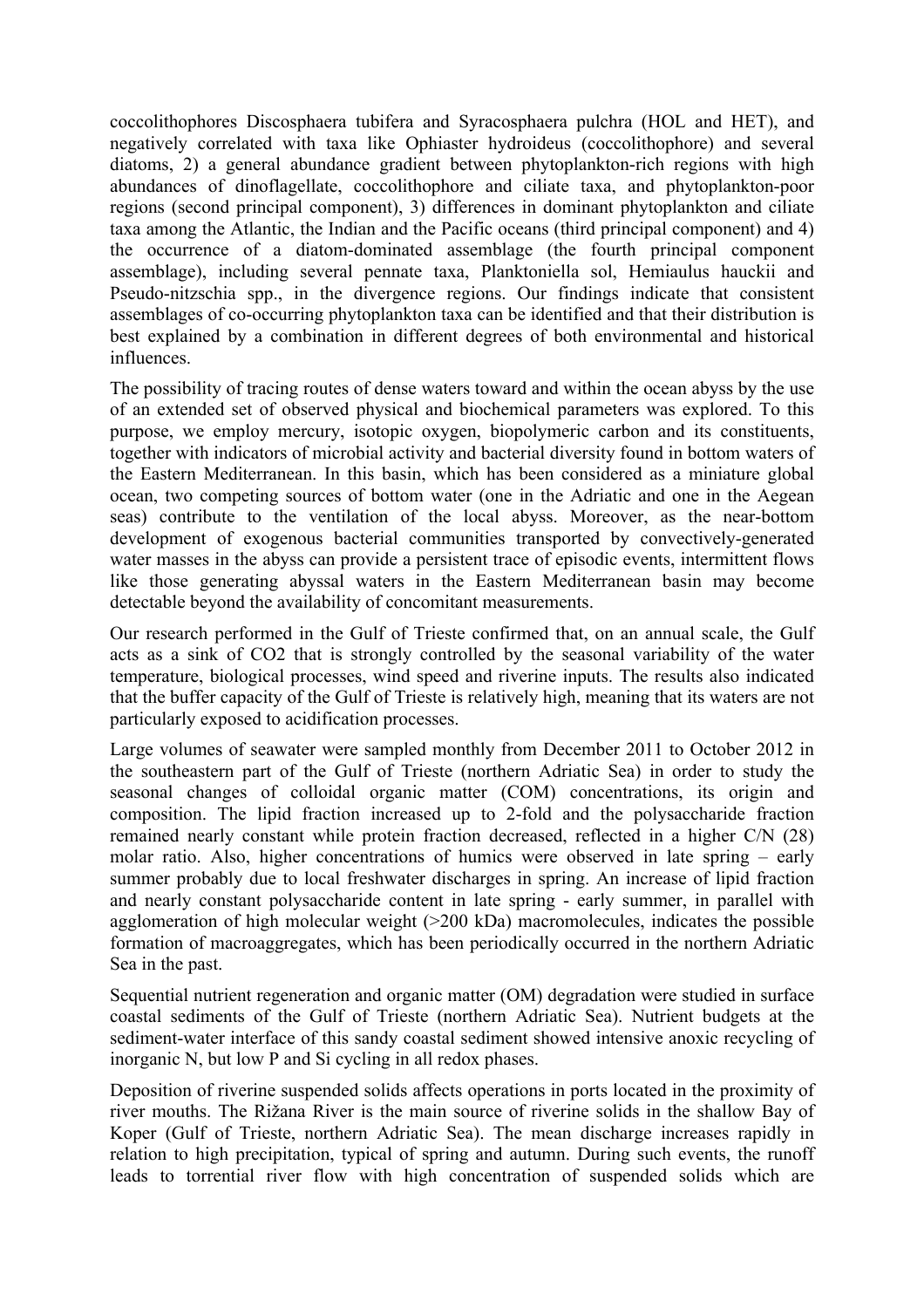coccolithophores Discosphaera tubifera and Syracosphaera pulchra (HOL and HET), and negatively correlated with taxa like Ophiaster hydroideus (coccolithophore) and several diatoms, 2) a general abundance gradient between phytoplankton-rich regions with high abundances of dinoflagellate, coccolithophore and ciliate taxa, and phytoplankton-poor regions (second principal component), 3) differences in dominant phytoplankton and ciliate taxa among the Atlantic, the Indian and the Pacific oceans (third principal component) and 4) the occurrence of a diatom-dominated assemblage (the fourth principal component assemblage), including several pennate taxa, Planktoniella sol, Hemiaulus hauckii and Pseudo-nitzschia spp., in the divergence regions. Our findings indicate that consistent assemblages of co-occurring phytoplankton taxa can be identified and that their distribution is best explained by a combination in different degrees of both environmental and historical influences.

The possibility of tracing routes of dense waters toward and within the ocean abyss by the use of an extended set of observed physical and biochemical parameters was explored. To this purpose, we employ mercury, isotopic oxygen, biopolymeric carbon and its constituents, together with indicators of microbial activity and bacterial diversity found in bottom waters of the Eastern Mediterranean. In this basin, which has been considered as a miniature global ocean, two competing sources of bottom water (one in the Adriatic and one in the Aegean seas) contribute to the ventilation of the local abyss. Moreover, as the near-bottom development of exogenous bacterial communities transported by convectively-generated water masses in the abyss can provide a persistent trace of episodic events, intermittent flows like those generating abyssal waters in the Eastern Mediterranean basin may become detectable beyond the availability of concomitant measurements.

Our research performed in the Gulf of Trieste confirmed that, on an annual scale, the Gulf acts as a sink of CO2 that is strongly controlled by the seasonal variability of the water temperature, biological processes, wind speed and riverine inputs. The results also indicated that the buffer capacity of the Gulf of Trieste is relatively high, meaning that its waters are not particularly exposed to acidification processes.

Large volumes of seawater were sampled monthly from December 2011 to October 2012 in the southeastern part of the Gulf of Trieste (northern Adriatic Sea) in order to study the seasonal changes of colloidal organic matter (COM) concentrations, its origin and composition. The lipid fraction increased up to 2-fold and the polysaccharide fraction remained nearly constant while protein fraction decreased, reflected in a higher C/N (28) molar ratio. Also, higher concentrations of humics were observed in late spring – early summer probably due to local freshwater discharges in spring. An increase of lipid fraction and nearly constant polysaccharide content in late spring - early summer, in parallel with agglomeration of high molecular weight (>200 kDa) macromolecules, indicates the possible formation of macroaggregates, which has been periodically occurred in the northern Adriatic Sea in the past.

Sequential nutrient regeneration and organic matter (OM) degradation were studied in surface coastal sediments of the Gulf of Trieste (northern Adriatic Sea). Nutrient budgets at the sediment-water interface of this sandy coastal sediment showed intensive anoxic recycling of inorganic N, but low P and Si cycling in all redox phases.

Deposition of riverine suspended solids affects operations in ports located in the proximity of river mouths. The Rižana River is the main source of riverine solids in the shallow Bay of Koper (Gulf of Trieste, northern Adriatic Sea). The mean discharge increases rapidly in relation to high precipitation, typical of spring and autumn. During such events, the runoff leads to torrential river flow with high concentration of suspended solids which are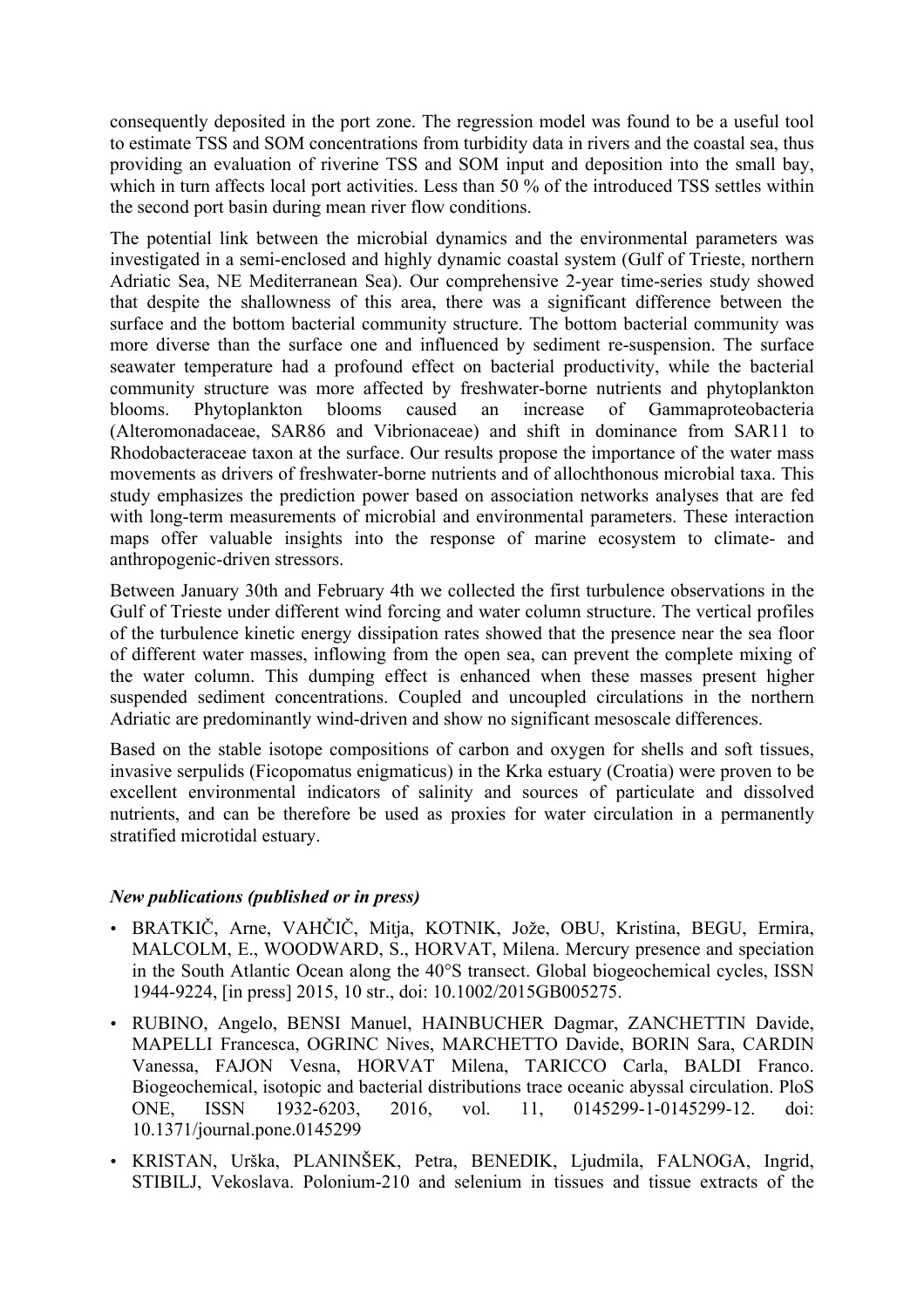consequently deposited in the port zone. The regression model was found to be a useful tool to estimate TSS and SOM concentrations from turbidity data in rivers and the coastal sea, thus providing an evaluation of riverine TSS and SOM input and deposition into the small bay, which in turn affects local port activities. Less than 50 % of the introduced TSS settles within the second port basin during mean river flow conditions.

The potential link between the microbial dynamics and the environmental parameters was investigated in a semi-enclosed and highly dynamic coastal system (Gulf of Trieste, northern Adriatic Sea, NE Mediterranean Sea). Our comprehensive 2-year time-series study showed that despite the shallowness of this area, there was a significant difference between the surface and the bottom bacterial community structure. The bottom bacterial community was more diverse than the surface one and influenced by sediment re-suspension. The surface seawater temperature had a profound effect on bacterial productivity, while the bacterial community structure was more affected by freshwater-borne nutrients and phytoplankton blooms. Phytoplankton blooms caused an increase of Gammaproteobacteria (Alteromonadaceae, SAR86 and Vibrionaceae) and shift in dominance from SAR11 to Rhodobacteraceae taxon at the surface. Our results propose the importance of the water mass movements as drivers of freshwater-borne nutrients and of allochthonous microbial taxa. This study emphasizes the prediction power based on association networks analyses that are fed with long-term measurements of microbial and environmental parameters. These interaction maps offer valuable insights into the response of marine ecosystem to climate- and anthropogenic-driven stressors.

Between January 30th and February 4th we collected the first turbulence observations in the Gulf of Trieste under different wind forcing and water column structure. The vertical profiles of the turbulence kinetic energy dissipation rates showed that the presence near the sea floor of different water masses, inflowing from the open sea, can prevent the complete mixing of the water column. This dumping effect is enhanced when these masses present higher suspended sediment concentrations. Coupled and uncoupled circulations in the northern Adriatic are predominantly wind-driven and show no significant mesoscale differences.

Based on the stable isotope compositions of carbon and oxygen for shells and soft tissues, invasive serpulids (Ficopomatus enigmaticus) in the Krka estuary (Croatia) were proven to be excellent environmental indicators of salinity and sources of particulate and dissolved nutrients, and can be therefore be used as proxies for water circulation in a permanently stratified microtidal estuary.

## *New publications (published or in press)*

- BRATKIČ, Arne, VAHČIČ, Mitja, KOTNIK, Jože, OBU, Kristina, BEGU, Ermira, MALCOLM, E., WOODWARD, S., HORVAT, Milena. Mercury presence and speciation in the South Atlantic Ocean along the 40°S transect. Global biogeochemical cycles, ISSN 1944-9224, [in press] 2015, 10 str., doi: 10.1002/2015GB005275.
- RUBINO, Angelo, BENSI Manuel, HAINBUCHER Dagmar, ZANCHETTIN Davide, MAPELLI Francesca, OGRINC Nives, MARCHETTO Davide, BORIN Sara, CARDIN Vanessa, FAJON Vesna, HORVAT Milena, TARICCO Carla, BALDI Franco. Biogeochemical, isotopic and bacterial distributions trace oceanic abyssal circulation. PloS ONE, ISSN 1932-6203, 2016, vol. 11, 0145299-1-0145299-12. doi: 10.1371/journal.pone.0145299
- KRISTAN, Urška, PLANINŠEK, Petra, BENEDIK, Ljudmila, FALNOGA, Ingrid, STIBILJ, Vekoslava. Polonium-210 and selenium in tissues and tissue extracts of the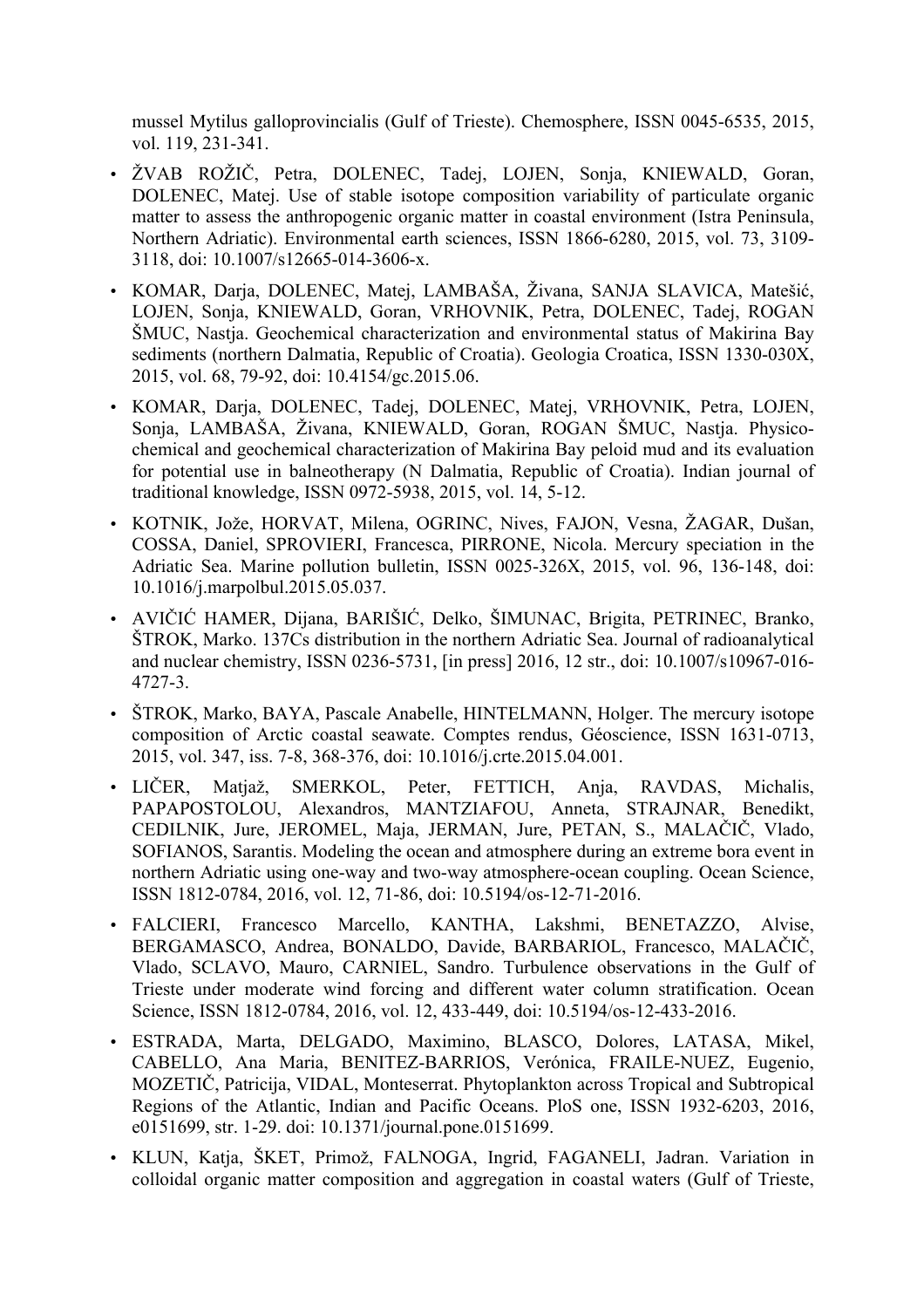mussel Mytilus galloprovincialis (Gulf of Trieste). Chemosphere, ISSN 0045-6535, 2015, vol. 119, 231-341.

- ŽVAB ROŽIČ, Petra, DOLENEC, Tadej, LOJEN, Sonja, KNIEWALD, Goran, DOLENEC, Matej. Use of stable isotope composition variability of particulate organic matter to assess the anthropogenic organic matter in coastal environment (Istra Peninsula, Northern Adriatic). Environmental earth sciences, ISSN 1866-6280, 2015, vol. 73, 3109- 3118, doi: 10.1007/s12665-014-3606-x.
- KOMAR, Darja, DOLENEC, Matej, LAMBAŠA, Živana, SANJA SLAVICA, Matešić, LOJEN, Sonja, KNIEWALD, Goran, VRHOVNIK, Petra, DOLENEC, Tadej, ROGAN ŠMUC, Nastja. Geochemical characterization and environmental status of Makirina Bay sediments (northern Dalmatia, Republic of Croatia). Geologia Croatica, ISSN 1330-030X, 2015, vol. 68, 79-92, doi: 10.4154/gc.2015.06.
- KOMAR, Darja, DOLENEC, Tadej, DOLENEC, Matej, VRHOVNIK, Petra, LOJEN, Sonja, LAMBAŠA, Živana, KNIEWALD, Goran, ROGAN ŠMUC, Nastja. Physicochemical and geochemical characterization of Makirina Bay peloid mud and its evaluation for potential use in balneotherapy (N Dalmatia, Republic of Croatia). Indian journal of traditional knowledge, ISSN 0972-5938, 2015, vol. 14, 5-12.
- KOTNIK, Jože, HORVAT, Milena, OGRINC, Nives, FAJON, Vesna, ŽAGAR, Dušan, COSSA, Daniel, SPROVIERI, Francesca, PIRRONE, Nicola. Mercury speciation in the Adriatic Sea. Marine pollution bulletin, ISSN 0025-326X, 2015, vol. 96, 136-148, doi: 10.1016/j.marpolbul.2015.05.037.
- AVIČIĆ HAMER, Dijana, BARIŠIĆ, Delko, ŠIMUNAC, Brigita, PETRINEC, Branko, ŠTROK, Marko. 137Cs distribution in the northern Adriatic Sea. Journal of radioanalytical and nuclear chemistry, ISSN 0236-5731, [in press] 2016, 12 str., doi: 10.1007/s10967-016- 4727-3.
- ŠTROK, Marko, BAYA, Pascale Anabelle, HINTELMANN, Holger. The mercury isotope composition of Arctic coastal seawate. Comptes rendus, Géoscience, ISSN 1631-0713, 2015, vol. 347, iss. 7-8, 368-376, doi: 10.1016/j.crte.2015.04.001.
- LIČER, Matjaž, SMERKOL, Peter, FETTICH, Anja, RAVDAS, Michalis, PAPAPOSTOLOU, Alexandros, MANTZIAFOU, Anneta, STRAJNAR, Benedikt, CEDILNIK, Jure, JEROMEL, Maja, JERMAN, Jure, PETAN, S., MALAČIČ, Vlado, SOFIANOS, Sarantis. Modeling the ocean and atmosphere during an extreme bora event in northern Adriatic using one-way and two-way atmosphere-ocean coupling. Ocean Science, ISSN 1812-0784, 2016, vol. 12, 71-86, doi: 10.5194/os-12-71-2016.
- FALCIERI, Francesco Marcello, KANTHA, Lakshmi, BENETAZZO, Alvise, BERGAMASCO, Andrea, BONALDO, Davide, BARBARIOL, Francesco, MALAČIČ, Vlado, SCLAVO, Mauro, CARNIEL, Sandro. Turbulence observations in the Gulf of Trieste under moderate wind forcing and different water column stratification. Ocean Science, ISSN 1812-0784, 2016, vol. 12, 433-449, doi: 10.5194/os-12-433-2016.
- ESTRADA, Marta, DELGADO, Maximino, BLASCO, Dolores, LATASA, Mikel, CABELLO, Ana Maria, BENITEZ-BARRIOS, Verónica, FRAILE-NUEZ, Eugenio, MOZETIČ, Patricija, VIDAL, Monteserrat. Phytoplankton across Tropical and Subtropical Regions of the Atlantic, Indian and Pacific Oceans. PloS one, ISSN 1932-6203, 2016, e0151699, str. 1-29. doi: 10.1371/journal.pone.0151699.
- KLUN, Katja, ŠKET, Primož, FALNOGA, Ingrid, FAGANELI, Jadran. Variation in colloidal organic matter composition and aggregation in coastal waters (Gulf of Trieste,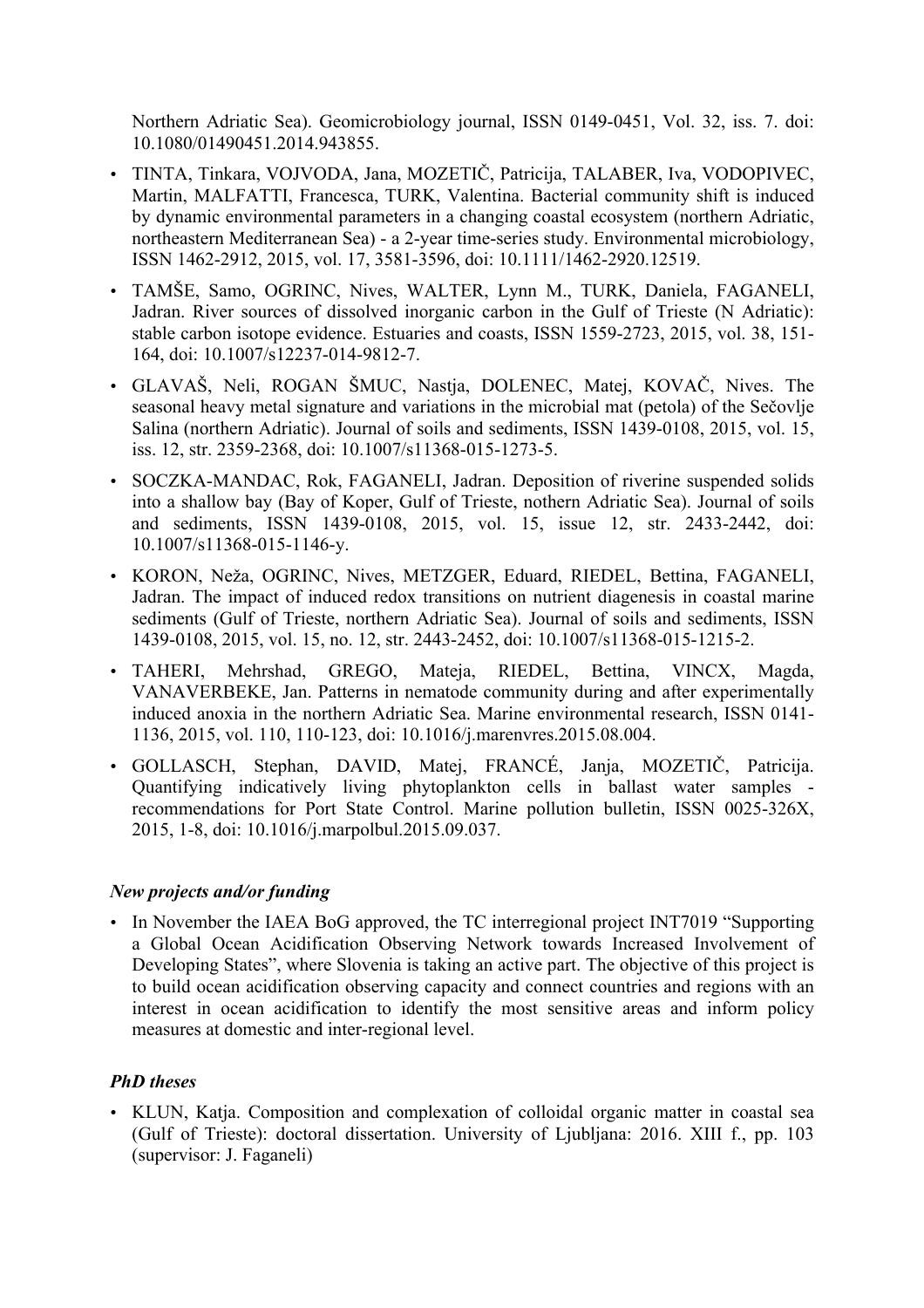Northern Adriatic Sea). Geomicrobiology journal, ISSN 0149-0451, Vol. 32, iss. 7. doi: 10.1080/01490451.2014.943855.

- TINTA, Tinkara, VOJVODA, Jana, MOZETIČ, Patricija, TALABER, Iva, VODOPIVEC, Martin, MALFATTI, Francesca, TURK, Valentina. Bacterial community shift is induced by dynamic environmental parameters in a changing coastal ecosystem (northern Adriatic, northeastern Mediterranean Sea) - a 2-year time-series study. Environmental microbiology, ISSN 1462-2912, 2015, vol. 17, 3581-3596, doi: 10.1111/1462-2920.12519.
- TAMŠE, Samo, OGRINC, Nives, WALTER, Lynn M., TURK, Daniela, FAGANELI, Jadran. River sources of dissolved inorganic carbon in the Gulf of Trieste (N Adriatic): stable carbon isotope evidence. Estuaries and coasts, ISSN 1559-2723, 2015, vol. 38, 151- 164, doi: 10.1007/s12237-014-9812-7.
- GLAVAŠ, Neli, ROGAN ŠMUC, Nastja, DOLENEC, Matej, KOVAČ, Nives. The seasonal heavy metal signature and variations in the microbial mat (petola) of the Sečovlje Salina (northern Adriatic). Journal of soils and sediments, ISSN 1439-0108, 2015, vol. 15, iss. 12, str. 2359-2368, doi: 10.1007/s11368-015-1273-5.
- SOCZKA-MANDAC, Rok, FAGANELI, Jadran. Deposition of riverine suspended solids into a shallow bay (Bay of Koper, Gulf of Trieste, nothern Adriatic Sea). Journal of soils and sediments, ISSN 1439-0108, 2015, vol. 15, issue 12, str. 2433-2442, doi: 10.1007/s11368-015-1146-y.
- KORON, Neža, OGRINC, Nives, METZGER, Eduard, RIEDEL, Bettina, FAGANELI, Jadran. The impact of induced redox transitions on nutrient diagenesis in coastal marine sediments (Gulf of Trieste, northern Adriatic Sea). Journal of soils and sediments, ISSN 1439-0108, 2015, vol. 15, no. 12, str. 2443-2452, doi: 10.1007/s11368-015-1215-2.
- TAHERI, Mehrshad, GREGO, Mateja, RIEDEL, Bettina, VINCX, Magda, VANAVERBEKE, Jan. Patterns in nematode community during and after experimentally induced anoxia in the northern Adriatic Sea. Marine environmental research, ISSN 0141- 1136, 2015, vol. 110, 110-123, doi: 10.1016/j.marenvres.2015.08.004.
- GOLLASCH, Stephan, DAVID, Matej, FRANCÉ, Janja, MOZETIČ, Patricija. Quantifying indicatively living phytoplankton cells in ballast water samples recommendations for Port State Control. Marine pollution bulletin, ISSN 0025-326X, 2015, 1-8, doi: 10.1016/j.marpolbul.2015.09.037.

## *New projects and/or funding*

• In November the IAEA BoG approved, the TC interregional project INT7019 "Supporting a Global Ocean Acidification Observing Network towards Increased Involvement of Developing States", where Slovenia is taking an active part. The objective of this project is to build ocean acidification observing capacity and connect countries and regions with an interest in ocean acidification to identify the most sensitive areas and inform policy measures at domestic and inter-regional level.

## *PhD theses*

• KLUN, Katja. Composition and complexation of colloidal organic matter in coastal sea (Gulf of Trieste): doctoral dissertation. University of Ljubljana: 2016. XIII f., pp. 103 (supervisor: J. Faganeli)